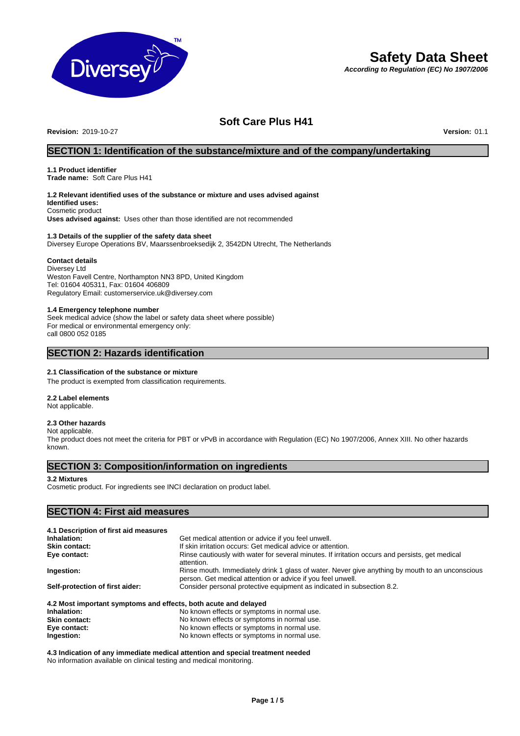

# **Safety Data Sheet**

*According to Regulation (EC) No 1907/2006*

# **Soft Care Plus H41**

**Revision:** 2019-10-27 **Version:** 01.1

# **SECTION 1: Identification of the substance/mixture and of the company/undertaking**

# **1.1 Product identifier**

**Trade name:** Soft Care Plus H41

# **1.2 Relevant identified uses of the substance or mixture and uses advised against**

**Identified uses:** Cosmetic product

**Uses advised against:** Uses other than those identified are not recommended

### **1.3 Details of the supplier of the safety data sheet**

Diversey Europe Operations BV, Maarssenbroeksedijk 2, 3542DN Utrecht, The Netherlands

### **Contact details**

Diversey Ltd Weston Favell Centre, Northampton NN3 8PD, United Kingdom Tel: 01604 405311, Fax: 01604 406809 Regulatory Email: customerservice.uk@diversey.com

### **1.4 Emergency telephone number**

Seek medical advice (show the label or safety data sheet where possible) For medical or environmental emergency only: call 0800 052 0185

# **SECTION 2: Hazards identification**

### **2.1 Classification of the substance or mixture**

The product is exempted from classification requirements.

**2.2 Label elements**

# Not applicable.

# **2.3 Other hazards**

Not applicable. The product does not meet the criteria for PBT or vPvB in accordance with Regulation (EC) No 1907/2006, Annex XIII. No other hazards known.

# **SECTION 3: Composition/information on ingredients**

### **3.2 Mixtures**

Cosmetic product. For ingredients see INCI declaration on product label.

# **SECTION 4: First aid measures**

| 4.1 Description of first aid measures                           |                                                                                                                                                                |  |
|-----------------------------------------------------------------|----------------------------------------------------------------------------------------------------------------------------------------------------------------|--|
| Inhalation:                                                     | Get medical attention or advice if you feel unwell.                                                                                                            |  |
| <b>Skin contact:</b>                                            | If skin irritation occurs: Get medical advice or attention.                                                                                                    |  |
| Eye contact:                                                    | Rinse cautiously with water for several minutes. If irritation occurs and persists, get medical<br>attention.                                                  |  |
| Ingestion:                                                      | Rinse mouth. Immediately drink 1 glass of water. Never give anything by mouth to an unconscious<br>person. Get medical attention or advice if you feel unwell. |  |
| Self-protection of first aider:                                 | Consider personal protective equipment as indicated in subsection 8.2.                                                                                         |  |
| 4.2 Most important symptoms and effects, both acute and delayed |                                                                                                                                                                |  |
| Inhalation:                                                     | No known effects or symptoms in normal use.                                                                                                                    |  |
| <b>Skin contact:</b>                                            | No known effects or symptoms in normal use.                                                                                                                    |  |
| Eye contact:                                                    | No known effects or symptoms in normal use.                                                                                                                    |  |

**Ingestion:** No known effects or symptoms in normal use.

**4.3 Indication of any immediate medical attention and special treatment needed** No information available on clinical testing and medical monitoring.

**Eye contact:** No known effects or symptoms in normal use.<br> **Ingestion:** No known effects or symptoms in normal use.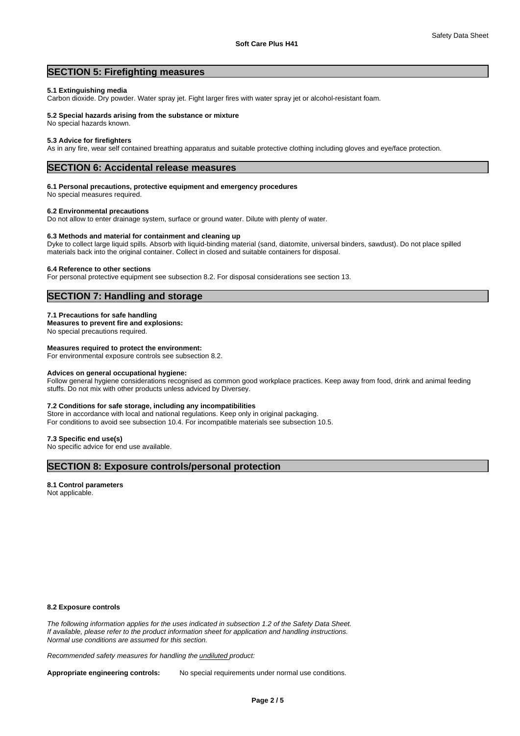# **SECTION 5: Firefighting measures**

#### **5.1 Extinguishing media**

Carbon dioxide. Dry powder. Water spray jet. Fight larger fires with water spray jet or alcohol-resistant foam.

#### **5.2 Special hazards arising from the substance or mixture**

No special hazards known.

#### **5.3 Advice for firefighters**

As in any fire, wear self contained breathing apparatus and suitable protective clothing including gloves and eye/face protection.

### **SECTION 6: Accidental release measures**

### **6.1 Personal precautions, protective equipment and emergency procedures**

No special measures required.

### **6.2 Environmental precautions**

Do not allow to enter drainage system, surface or ground water. Dilute with plenty of water.

#### **6.3 Methods and material for containment and cleaning up**

Dyke to collect large liquid spills. Absorb with liquid-binding material (sand, diatomite, universal binders, sawdust). Do not place spilled materials back into the original container. Collect in closed and suitable containers for disposal.

#### **6.4 Reference to other sections**

For personal protective equipment see subsection 8.2. For disposal considerations see section 13.

## **SECTION 7: Handling and storage**

#### **7.1 Precautions for safe handling**

**Measures to prevent fire and explosions:**

No special precautions required.

## **Measures required to protect the environment:**

For environmental exposure controls see subsection 8.2.

#### **Advices on general occupational hygiene:**

Follow general hygiene considerations recognised as common good workplace practices. Keep away from food, drink and animal feeding stuffs. Do not mix with other products unless adviced by Diversey.

### **7.2 Conditions for safe storage, including any incompatibilities**

Store in accordance with local and national regulations. Keep only in original packaging. For conditions to avoid see subsection 10.4. For incompatible materials see subsection 10.5.

#### **7.3 Specific end use(s)**

No specific advice for end use available.

# **SECTION 8: Exposure controls/personal protection**

#### **8.1 Control parameters**

Not applicable.

### **8.2 Exposure controls**

*The following information applies for the uses indicated in subsection 1.2 of the Safety Data Sheet. If available, please refer to the product information sheet for application and handling instructions. Normal use conditions are assumed for this section.*

*Recommended safety measures for handling the undiluted product:*

Appropriate engineering controls: No special requirements under normal use conditions.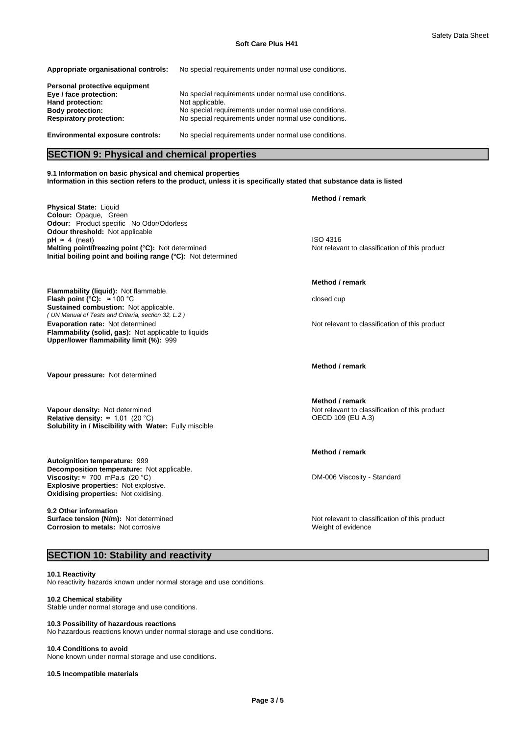| Appropriate organisational controls:                      | No special requirements under normal use conditions.                                                         |
|-----------------------------------------------------------|--------------------------------------------------------------------------------------------------------------|
| Personal protective equipment                             |                                                                                                              |
| Eye / face protection:<br>Hand protection:                | No special requirements under normal use conditions.<br>Not applicable.                                      |
| <b>Body protection:</b><br><b>Respiratory protection:</b> | No special requirements under normal use conditions.<br>No special requirements under normal use conditions. |
|                                                           |                                                                                                              |
| <b>Environmental exposure controls:</b>                   | No special requirements under normal use conditions.                                                         |

# **SECTION 9: Physical and chemical properties**

**9.1 Information on basic physical and chemical properties Information in this section refers to the product, unless it is specifically stated that substance data is listed**

**Physical State:** Liquid **Colour:** Opaque, Green **Odour:** Product specific No Odor/Odorless **Odour threshold:** Not applicable **pH** ≈ 4 (neat) ISO 4316 **Melting point/freezing point (°C):** Not determined Not relevant to classification of this product **Initial boiling point and boiling range (°C):** Not determined

**Flammability (liquid):** Not flammable. *( UN Manual of Tests and Criteria, section 32, L.2 )* **Flash point (°C):** ≈100 °C closed cup **Sustained combustion:** Not applicable. **Evaporation rate:** Not determined **Notify and Row Report of the Not relevant to classification of this product Flammability (solid, gas):** Not applicable to liquids **Upper/lower flammability limit (%):** 999

**Vapour pressure:** Not determined

**Solubility in / Miscibility with Water:** Fully miscible **Vapour density:** Not determined **Not relevant to classification of this product Relative density: ≈ 1.01 (20 °C) <br>Relative density: ≈ 1.01 (20 °C) <b>COU** 109 (EU A.3) **Relative density:**  $\approx 1.01$  (20 °C)

**Decomposition temperature:** Not applicable. **Autoignition temperature:** 999 **Viscosity:** ≈700 mPa.s (20 °C) **DM-006** Viscosity - Standard **Explosive properties:** Not explosive. **Oxidising properties:** Not oxidising.

**9.2 Other information Corrosion to metals:** Not corrosive Weight of evidence Weight of evidence

# **SECTION 10: Stability and reactivity**

**10.1 Reactivity** No reactivity hazards known under normal storage and use conditions.

## **10.2 Chemical stability**

Stable under normal storage and use conditions.

#### **10.3 Possibility of hazardous reactions**

No hazardous reactions known under normal storage and use conditions.

#### **10.4 Conditions to avoid**

None known under normal storage and use conditions.

**10.5 Incompatible materials**

**Method / remark**

### **Method / remark**

**Method / remark**

**Method / remark**

**Method / remark**

**Surface tension (N/m):** Not determined **Notification in the Not relevant to classification of this product**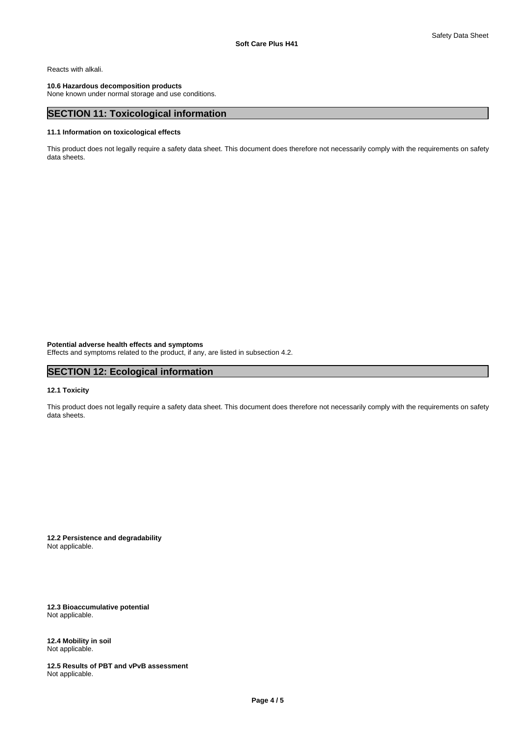Reacts with alkali.

### **10.6 Hazardous decomposition products**

None known under normal storage and use conditions.

# **SECTION 11: Toxicological information**

### **11.1 Information on toxicological effects**

This product does not legally require a safety data sheet. This document does therefore not necessarily comply with the requirements on safety data sheets.

**Potential adverse health effects and symptoms** Effects and symptoms related to the product, if any, are listed in subsection 4.2.

# **SECTION 12: Ecological information**

### **12.1 Toxicity**

This product does not legally require a safety data sheet. This document does therefore not necessarily comply with the requirements on safety data sheets.

**12.2 Persistence and degradability** Not applicable.

**12.3 Bioaccumulative potential** Not applicable.

**12.4 Mobility in soil** Not applicable.

**12.5 Results of PBT and vPvB assessment** Not applicable.